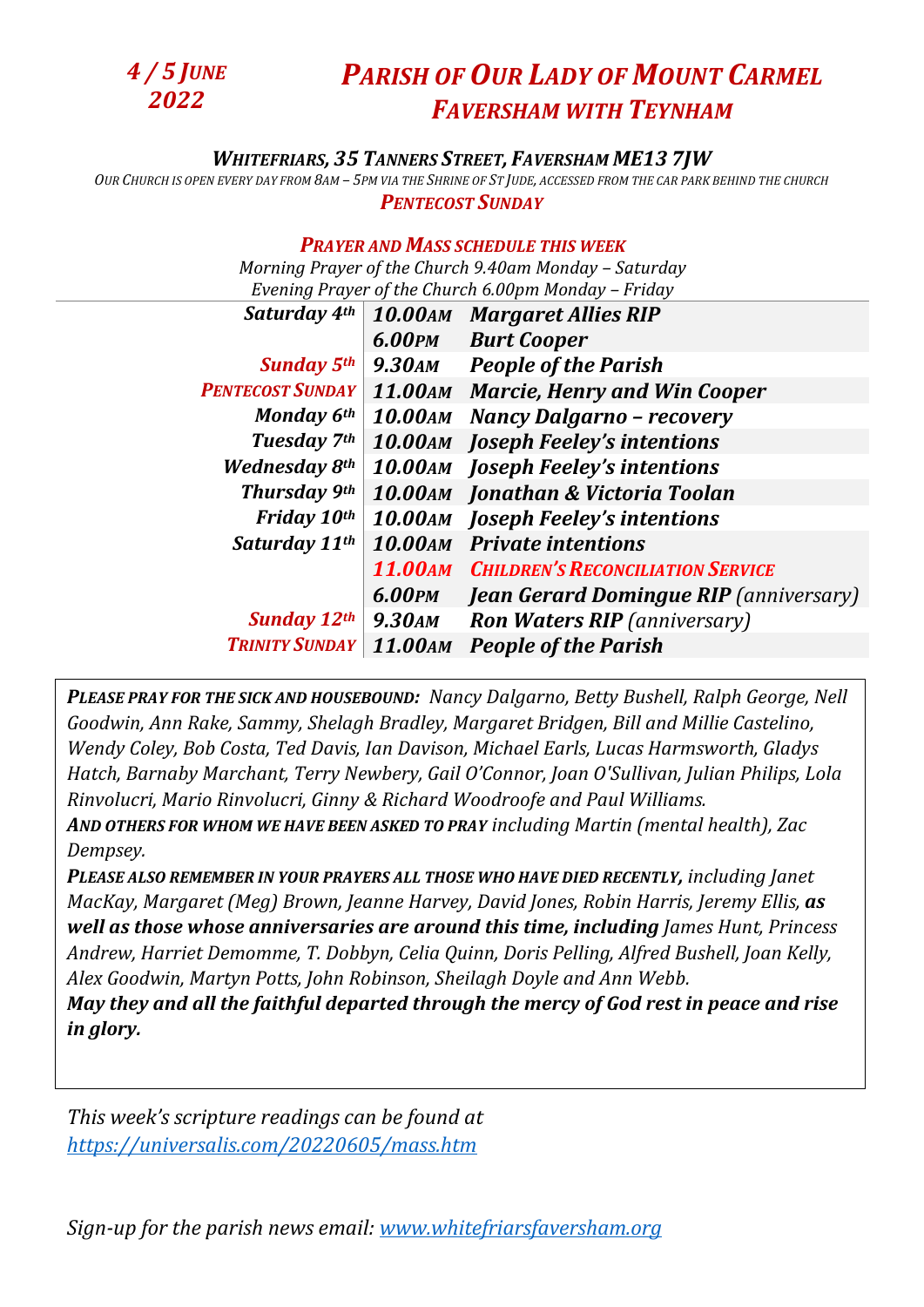

## *WHITEFRIARS, 35 TANNERS STREET, FAVERSHAM ME13 7JW*

OUR CHURCH IS OPEN EVERY DAY FROM 8AM - 5PM VIA THE SHRINE OF ST JUDE, ACCESSED FROM THE CAR PARK BEHIND THE CHURCH *PENTECOST SUNDAY*

## *PRAYER AND MASS SCHEDULE THIS WEEK*

*Morning Prayer of the Church 9.40am Monday – Saturday Evening Prayer of the Church 6.00pm Monday – Friday* 

| Saturday 4th            | <b>10.00AM</b> | <b>Margaret Allies RIP</b>                       |
|-------------------------|----------------|--------------------------------------------------|
|                         | 6.00PM         | <b>Burt Cooper</b>                               |
| <b>Sunday 5th</b>       | <b>9.30AM</b>  | <b>People of the Parish</b>                      |
| <b>PENTECOST SUNDAY</b> |                | 11.00AM Marcie, Henry and Win Cooper             |
| Monday 6th              | <b>10.00AM</b> | <b>Nancy Dalgarno - recovery</b>                 |
| Tuesday 7th             |                | <b>10.00AM</b> Joseph Feeley's intentions        |
| <b>Wednesday 8th</b>    |                | <b>10.00AM</b> Joseph Feeley's intentions        |
| <b>Thursday 9th</b>     |                | 10.00AM Jonathan & Victoria Toolan               |
| Friday 10th             |                | <b>10.00AM</b> Joseph Feeley's intentions        |
| Saturday 11th           | <b>10.00AM</b> | <b>Private intentions</b>                        |
|                         |                | <b>11.00AM CHILDREN'S RECONCILIATION SERVICE</b> |
|                         | 6.00PM         | <b>Jean Gerard Domingue RIP</b> (anniversary)    |
| <b>Sunday 12th</b>      | <b>9.30AM</b>  | <b>Ron Waters RIP</b> (anniversary)              |
| <b>TRINITY SUNDAY</b>   | 11.00AM        | <b>People of the Parish</b>                      |
|                         |                |                                                  |

*PLEASE PRAY FOR THE SICK AND HOUSEBOUND: Nancy Dalgarno, Betty Bushell, Ralph George, Nell Goodwin, Ann Rake, Sammy, Shelagh Bradley, Margaret Bridgen, Bill and Millie Castelino, Wendy Coley, Bob Costa, Ted Davis, Ian Davison, Michael Earls, Lucas Harmsworth, Gladys Hatch, Barnaby Marchant, Terry Newbery, Gail O'Connor, Joan O'Sullivan, Julian Philips, Lola Rinvolucri, Mario Rinvolucri, Ginny & Richard Woodroofe and Paul Williams. AND OTHERS FOR WHOM WE HAVE BEEN ASKED TO PRAY including Martin (mental health), Zac* 

*Dempsey.*

*PLEASE ALSO REMEMBER IN YOUR PRAYERS ALL THOSE WHO HAVE DIED RECENTLY, including Janet MacKay, Margaret (Meg) Brown, Jeanne Harvey, David Jones, Robin Harris, Jeremy Ellis, as well as those whose anniversaries are around this time, including James Hunt, Princess Andrew, Harriet Demomme, T. Dobbyn, Celia Quinn, Doris Pelling, Alfred Bushell, Joan Kelly, Alex Goodwin, Martyn Potts, John Robinson, Sheilagh Doyle and Ann Webb.*

*May they and all the faithful departed through the mercy of God rest in peace and rise in glory.*

*This week's scripture readings can be found at <https://universalis.com/20220605/mass.htm>*

*Sign-up for the parish news email: [www.whitefriarsfaversham.org](http://www.whitefriarsfaversham.org/)*